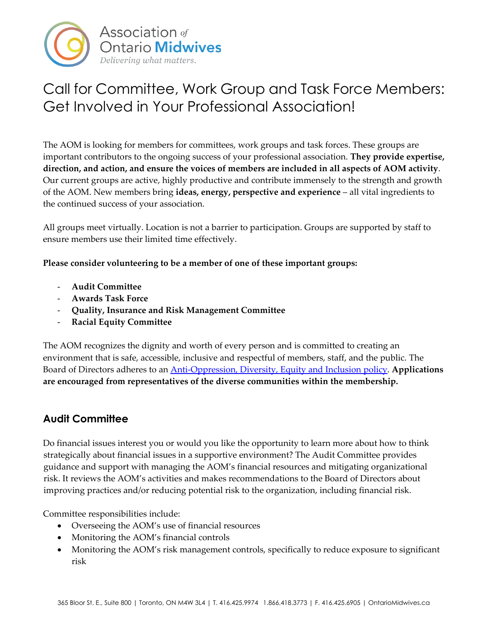

# Call for Committee, Work Group and Task Force Members: Get Involved in Your Professional Association!

The AOM is looking for members for committees, work groups and task forces. These groups are important contributors to the ongoing success of your professional association. **They provide expertise, direction, and action, and ensure the voices of members are included in all aspects of AOM activity**. Our current groups are active, highly productive and contribute immensely to the strength and growth of the AOM. New members bring **ideas, energy, perspective and experience** – all vital ingredients to the continued success of your association.

All groups meet virtually. Location is not a barrier to participation. Groups are supported by staff to ensure members use their limited time effectively.

**Please consider volunteering to be a member of one of these important groups:**

- **Audit Committee**
- **Awards Task Force**
- **Quality, Insurance and Risk Management Committee**
- **Racial Equity Committee**

The AOM recognizes the dignity and worth of every person and is committed to creating an environment that is safe, accessible, inclusive and respectful of members, staff, and the public. The Board of Directors adheres to an [Anti-Oppression, Diversity, Equity and Inclusion policy.](https://www.ontariomidwives.ca/sites/default/files/Policy%20positions%20and%20submissions/Anti-Oppression%20Diversity%20Equity%20and%20Inclusion%20Policy%20-%20Approved%20November%202017.pdf) **Applications are encouraged from representatives of the diverse communities within the membership.**

## **Audit Committee**

Do financial issues interest you or would you like the opportunity to learn more about how to think strategically about financial issues in a supportive environment? The Audit Committee provides guidance and support with managing the AOM's financial resources and mitigating organizational risk. It reviews the AOM's activities and makes recommendations to the Board of Directors about improving practices and/or reducing potential risk to the organization, including financial risk.

Committee responsibilities include:

- Overseeing the AOM's use of financial resources
- Monitoring the AOM's financial controls
- Monitoring the AOM's risk management controls, specifically to reduce exposure to significant risk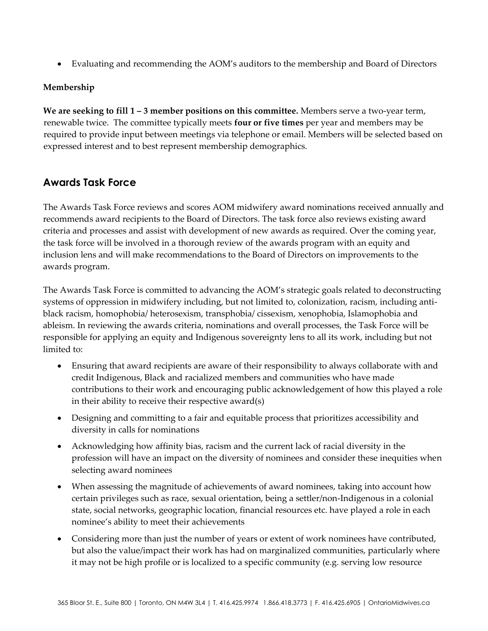• Evaluating and recommending the AOM's auditors to the membership and Board of Directors

#### **Membership**

**We are seeking to fill 1 – 3 member positions on this committee.** Members serve a two-year term, renewable twice. The committee typically meets **four or five times** per year and members may be required to provide input between meetings via telephone or email. Members will be selected based on expressed interest and to best represent membership demographics.

## **Awards Task Force**

The Awards Task Force reviews and scores AOM midwifery award nominations received annually and recommends award recipients to the Board of Directors. The task force also reviews existing award criteria and processes and assist with development of new awards as required. Over the coming year, the task force will be involved in a thorough review of the awards program with an equity and inclusion lens and will make recommendations to the Board of Directors on improvements to the awards program.

The Awards Task Force is committed to advancing the AOM's strategic goals related to deconstructing systems of oppression in midwifery including, but not limited to, colonization, racism, including antiblack racism, homophobia/ heterosexism, transphobia/ cissexism, xenophobia, Islamophobia and ableism. In reviewing the awards criteria, nominations and overall processes, the Task Force will be responsible for applying an equity and Indigenous sovereignty lens to all its work, including but not limited to:

- Ensuring that award recipients are aware of their responsibility to always collaborate with and credit Indigenous, Black and racialized members and communities who have made contributions to their work and encouraging public acknowledgement of how this played a role in their ability to receive their respective award(s)
- Designing and committing to a fair and equitable process that prioritizes accessibility and diversity in calls for nominations
- Acknowledging how affinity bias, racism and the current lack of racial diversity in the profession will have an impact on the diversity of nominees and consider these inequities when selecting award nominees
- When assessing the magnitude of achievements of award nominees, taking into account how certain privileges such as race, sexual orientation, being a settler/non-Indigenous in a colonial state, social networks, geographic location, financial resources etc. have played a role in each nominee's ability to meet their achievements
- Considering more than just the number of years or extent of work nominees have contributed, but also the value/impact their work has had on marginalized communities, particularly where it may not be high profile or is localized to a specific community (e.g. serving low resource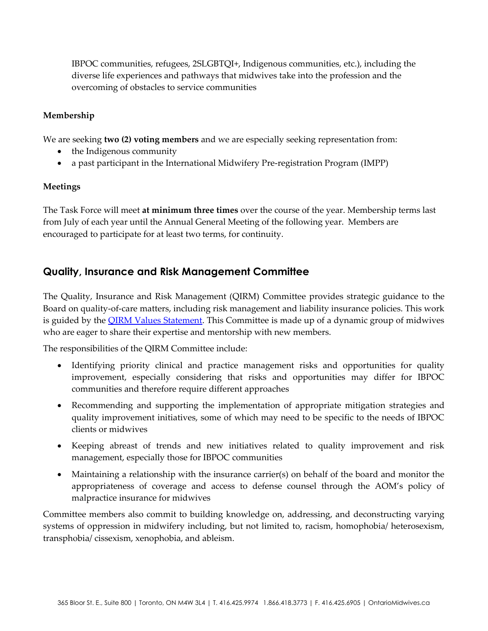IBPOC communities, refugees, 2SLGBTQI+, Indigenous communities, etc.), including the diverse life experiences and pathways that midwives take into the profession and the overcoming of obstacles to service communities

### **Membership**

We are seeking **two (2) voting members** and we are especially seeking representation from:

- the Indigenous community
- a past participant in the International Midwifery Pre-registration Program (IMPP)

#### **Meetings**

The Task Force will meet **at minimum three times** over the course of the year. Membership terms last from July of each year until the Annual General Meeting of the following year. Members are encouraged to participate for at least two terms, for continuity.

## **Quality, Insurance and Risk Management Committee**

The Quality, Insurance and Risk Management (QIRM) Committee provides strategic guidance to the Board on quality-of-care matters, including risk management and liability insurance policies. This work is guided by the **QIRM Values Statement**. This Committee is made up of a dynamic group of midwives who are eager to share their expertise and mentorship with new members.

The responsibilities of the QIRM Committee include:

- Identifying priority clinical and practice management risks and opportunities for quality improvement, especially considering that risks and opportunities may differ for IBPOC communities and therefore require different approaches
- Recommending and supporting the implementation of appropriate mitigation strategies and quality improvement initiatives, some of which may need to be specific to the needs of IBPOC clients or midwives
- Keeping abreast of trends and new initiatives related to quality improvement and risk management, especially those for IBPOC communities
- Maintaining a relationship with the insurance carrier(s) on behalf of the board and monitor the appropriateness of coverage and access to defense counsel through the AOM's policy of malpractice insurance for midwives

Committee members also commit to building knowledge on, addressing, and deconstructing varying systems of oppression in midwifery including, but not limited to, racism, homophobia/ heterosexism, transphobia/ cissexism, xenophobia, and ableism.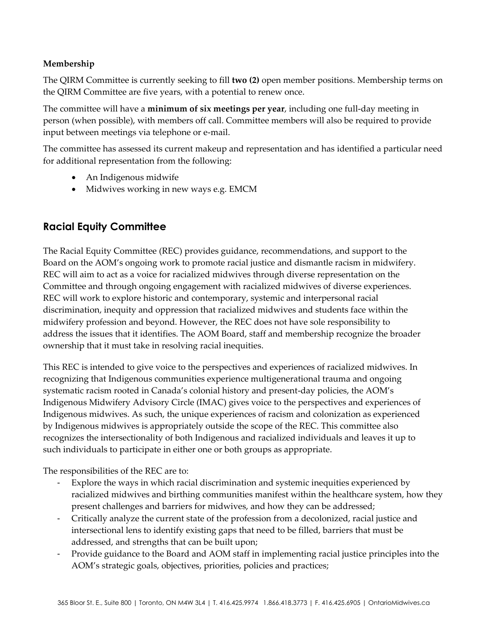## **Membership**

The QIRM Committee is currently seeking to fill **two (2)** open member positions. Membership terms on the QIRM Committee are five years, with a potential to renew once.

The committee will have a **minimum of six meetings per year**, including one full-day meeting in person (when possible), with members off call. Committee members will also be required to provide input between meetings via telephone or e-mail.

The committee has assessed its current makeup and representation and has identified a particular need for additional representation from the following:

- An Indigenous midwife
- Midwives working in new ways e.g. EMCM

# **Racial Equity Committee**

The Racial Equity Committee (REC) provides guidance, recommendations, and support to the Board on the AOM's ongoing work to promote racial justice and dismantle racism in midwifery. REC will aim to act as a voice for racialized midwives through diverse representation on the Committee and through ongoing engagement with racialized midwives of diverse experiences. REC will work to explore historic and contemporary, systemic and interpersonal racial discrimination, inequity and oppression that racialized midwives and students face within the midwifery profession and beyond. However, the REC does not have sole responsibility to address the issues that it identifies. The AOM Board, staff and membership recognize the broader ownership that it must take in resolving racial inequities.

This REC is intended to give voice to the perspectives and experiences of racialized midwives. In recognizing that Indigenous communities experience multigenerational trauma and ongoing systematic racism rooted in Canada's colonial history and present-day policies, the AOM's Indigenous Midwifery Advisory Circle (IMAC) gives voice to the perspectives and experiences of Indigenous midwives. As such, the unique experiences of racism and colonization as experienced by Indigenous midwives is appropriately outside the scope of the REC. This committee also recognizes the intersectionality of both Indigenous and racialized individuals and leaves it up to such individuals to participate in either one or both groups as appropriate.

The responsibilities of the REC are to:

- Explore the ways in which racial discrimination and systemic inequities experienced by racialized midwives and birthing communities manifest within the healthcare system, how they present challenges and barriers for midwives, and how they can be addressed;
- Critically analyze the current state of the profession from a decolonized, racial justice and intersectional lens to identify existing gaps that need to be filled, barriers that must be addressed, and strengths that can be built upon;
- Provide guidance to the Board and AOM staff in implementing racial justice principles into the AOM's strategic goals, objectives, priorities, policies and practices;